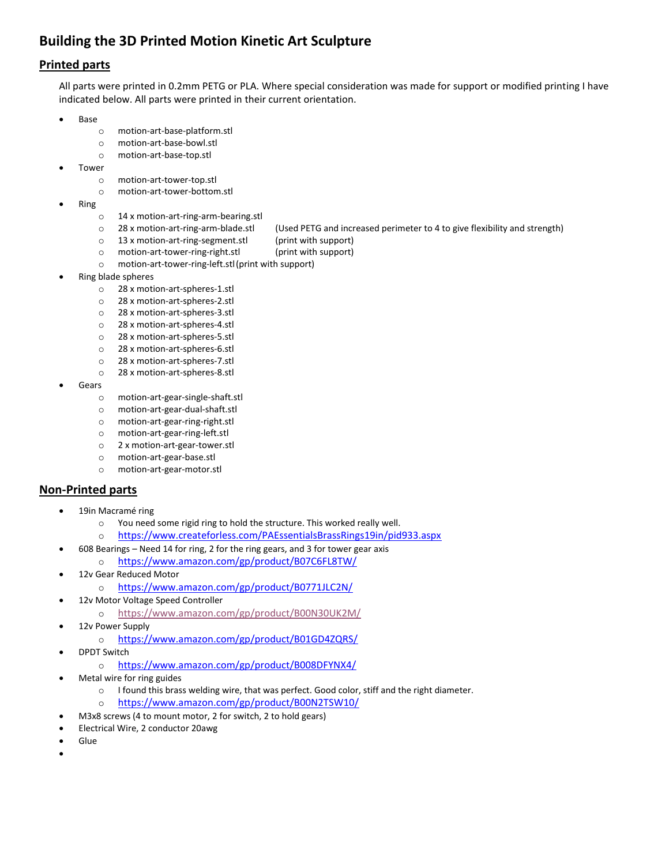## **Building the 3D Printed Motion Kinetic Art Sculpture**

## **Printed parts**

All parts were printed in 0.2mm PETG or PLA. Where special consideration was made for support or modified printing I have indicated below. All parts were printed in their current orientation.

- Base
	- o motion-art-base-platform.stl
	- o motion-art-base-bowl.stl
	- o motion-art-base-top.stl
- **Tower** 
	- o motion-art-tower-top.stl
	- o motion-art-tower-bottom.stl
- Ring
	- o 14 x motion-art-ring-arm-bearing.stl
	- o 28 x motion-art-ring-arm-blade.stl (Used PETG and increased perimeter to 4 to give flexibility and strength)
	- o 13 x motion-art-ring-segment.stl (print with support)
		-
	- o motion-art-tower-ring-right.stl (print with support)
	- o motion-art-tower-ring-left.stl(print with support)
- Ring blade spheres
	- o 28 x motion-art-spheres-1.stl
	- o 28 x motion-art-spheres-2.stl
	- o 28 x motion-art-spheres-3.stl
	- o 28 x motion-art-spheres-4.stl
	- o 28 x motion-art-spheres-5.stl
	- o 28 x motion-art-spheres-6.stl
	- o 28 x motion-art-spheres-7.stl
	- o 28 x motion-art-spheres-8.stl
- **Gears** 
	- o motion-art-gear-single-shaft.stl
	- o motion-art-gear-dual-shaft.stl
	- o motion-art-gear-ring-right.stl
	- o motion-art-gear-ring-left.stl
	- o 2 x motion-art-gear-tower.stl
	- o motion-art-gear-base.stl
	- o motion-art-gear-motor.stl

## **Non-Printed parts**

- 19in Macramé ring
	- o You need some rigid ring to hold the structure. This worked really well.
	- o <https://www.createforless.com/PAEssentialsBrassRings19in/pid933.aspx>
- 608 Bearings Need 14 for ring, 2 for the ring gears, and 3 for tower gear axis
	- o <https://www.amazon.com/gp/product/B07C6FL8TW/>
- 12v Gear Reduced Motor
	- o <https://www.amazon.com/gp/product/B0771JLC2N/>
- 12v Motor Voltage Speed Controller
	- o <https://www.amazon.com/gp/product/B00N30UK2M/>
- 12v Power Supply
	- o <https://www.amazon.com/gp/product/B01GD4ZQRS/>
- DPDT Switch
	- o <https://www.amazon.com/gp/product/B008DFYNX4/>
- Metal wire for ring guides
	- o I found this brass welding wire, that was perfect. Good color, stiff and the right diameter.
	- o <https://www.amazon.com/gp/product/B00N2TSW10/>
- M3x8 screws (4 to mount motor, 2 for switch, 2 to hold gears)
- Electrical Wire, 2 conductor 20awg
- Glue
- •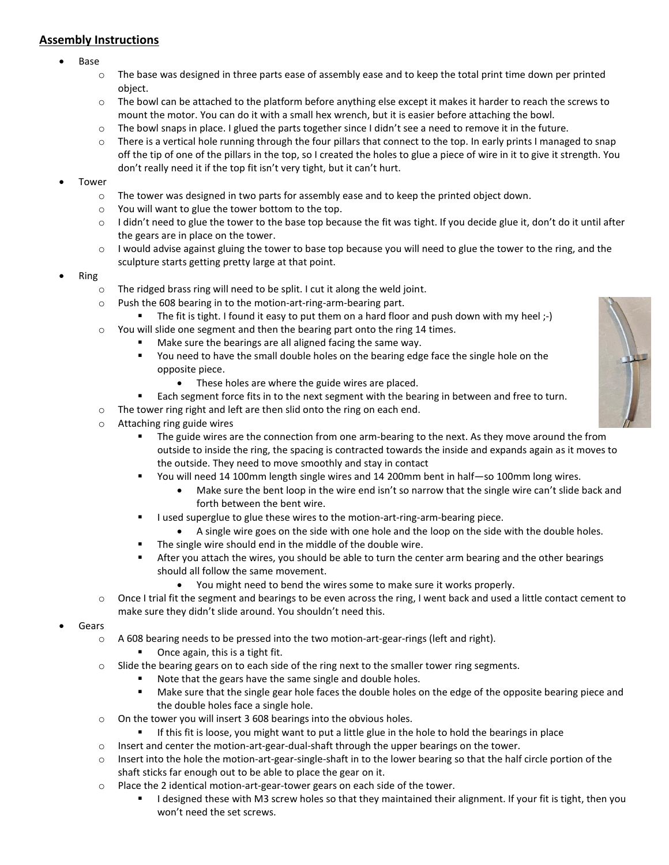## **Assembly Instructions**

- Base
	- $\circ$  The base was designed in three parts ease of assembly ease and to keep the total print time down per printed object.
	- $\circ$  The bowl can be attached to the platform before anything else except it makes it harder to reach the screws to mount the motor. You can do it with a small hex wrench, but it is easier before attaching the bowl.
	- $\circ$  The bowl snaps in place. I glued the parts together since I didn't see a need to remove it in the future.
	- o There is a vertical hole running through the four pillars that connect to the top. In early prints I managed to snap off the tip of one of the pillars in the top, so I created the holes to glue a piece of wire in it to give it strength. You don't really need it if the top fit isn't very tight, but it can't hurt.
- **Tower** 
	- $\circ$  The tower was designed in two parts for assembly ease and to keep the printed object down.
	- o You will want to glue the tower bottom to the top.
	- $\circ$  I didn't need to glue the tower to the base top because the fit was tight. If you decide glue it, don't do it until after the gears are in place on the tower.
	- $\circ$  I would advise against gluing the tower to base top because you will need to glue the tower to the ring, and the sculpture starts getting pretty large at that point.
- Ring
	- o The ridged brass ring will need to be split. I cut it along the weld joint.
	- o Push the 608 bearing in to the motion-art-ring-arm-bearing part.
		- The fit is tight. I found it easy to put them on a hard floor and push down with my heel ;-)
	- o You will slide one segment and then the bearing part onto the ring 14 times.
		- Make sure the bearings are all aligned facing the same way.
		- You need to have the small double holes on the bearing edge face the single hole on the opposite piece.
			- These holes are where the guide wires are placed.
		- Each segment force fits in to the next segment with the bearing in between and free to turn.
	- o The tower ring right and left are then slid onto the ring on each end.
	- o Attaching ring guide wires
		- The guide wires are the connection from one arm-bearing to the next. As they move around the from outside to inside the ring, the spacing is contracted towards the inside and expands again as it moves to the outside. They need to move smoothly and stay in contact
		- You will need 14 100mm length single wires and 14 200mm bent in half—so 100mm long wires.
			- Make sure the bent loop in the wire end isn't so narrow that the single wire can't slide back and forth between the bent wire.
		- **■** I used superglue to glue these wires to the motion-art-ring-arm-bearing piece.
			- A single wire goes on the side with one hole and the loop on the side with the double holes.
		- The single wire should end in the middle of the double wire.
		- **EXECT After you attach the wires, you should be able to turn the center arm bearing and the other bearings** should all follow the same movement.
			- You might need to bend the wires some to make sure it works properly.
	- o Once I trial fit the segment and bearings to be even across the ring, I went back and used a little contact cement to make sure they didn't slide around. You shouldn't need this.
- **Gears** 
	- $\circ$  A 608 bearing needs to be pressed into the two motion-art-gear-rings (left and right).
		- Once again, this is a tight fit.
	- o Slide the bearing gears on to each side of the ring next to the smaller tower ring segments.
		- Note that the gears have the same single and double holes.
			- Make sure that the single gear hole faces the double holes on the edge of the opposite bearing piece and the double holes face a single hole.
	- o On the tower you will insert 3 608 bearings into the obvious holes.
		- **■** If this fit is loose, you might want to put a little glue in the hole to hold the bearings in place
	- o Insert and center the motion-art-gear-dual-shaft through the upper bearings on the tower.
	- $\circ$  Insert into the hole the motion-art-gear-single-shaft in to the lower bearing so that the half circle portion of the shaft sticks far enough out to be able to place the gear on it.
	- o Place the 2 identical motion-art-gear-tower gears on each side of the tower.
		- I designed these with M3 screw holes so that they maintained their alignment. If your fit is tight, then you won't need the set screws.